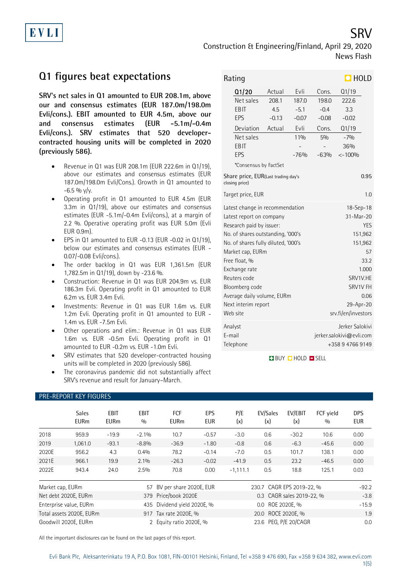Construction & Engineering/Finland, April 29, 2020 News Flash

# **Q1 figures beat expectations**

**SRV's net sales in Q1 amounted to EUR 208.1m, above our and consensus estimates (EUR 187.0m/198.0m Evli/cons.). EBIT amounted to EUR 4.5m, above our and consensus estimates (EUR -5.1m/-0.4m Evli/cons.). SRV estimates that 520 developercontracted housing units will be completed in 2020 (previously 586).**

- Revenue in Q1 was EUR 208.1m (EUR 222.6m in Q1/19), above our estimates and consensus estimates (EUR 187.0m/198.0m Evli/Cons.). Growth in Q1 amounted to  $-6.5 \%$  y/y.
- Operating profit in Q1 amounted to EUR 4.5m (EUR 3.3m in Q1/19), above our estimates and consensus estimates (EUR -5.1m/-0.4m Evli/cons.), at a margin of 2.2 %. Operative operating profit was EUR 5.0m (Evli EUR 0.9m).
- EPS in Q1 amounted to EUR -0.13 (EUR -0.02 in Q1/19), below our estimates and consensus estimates (EUR - 0.07/-0.08 Evli/cons.).
- The order backlog in Q1 was EUR 1,361.5m (EUR 1,782.5m in Q1/19), down by -23.6 %.
- Construction: Revenue in Q1 was EUR 204.9m vs. EUR 186.3m Evli. Operating profit in Q1 amounted to EUR 6.2m vs. EUR 3.4m Evli.
- Investments: Revenue in Q1 was EUR 1.6m vs. EUR 1.2m Evli. Operating profit in Q1 amounted to EUR - 1.4m vs. EUR -7.5m Evli.
- Other operations and elim.: Revenue in Q1 was EUR 1.6m vs. EUR -0.5m Evli. Operating profit in Q1 amounted to EUR -0.2m vs. EUR -1.0m Evli.
- SRV estimates that 520 developer-contracted housing units will be completed in 2020 (previously 586).
- The coronavirus pandemic did not substantially affect SRV's revenue and result for January–March.

| Rating                                                                                                                                                                                                                                                                                                                       |         |                                                                                                                                                             |         | $\Box$ HOLD |      |
|------------------------------------------------------------------------------------------------------------------------------------------------------------------------------------------------------------------------------------------------------------------------------------------------------------------------------|---------|-------------------------------------------------------------------------------------------------------------------------------------------------------------|---------|-------------|------|
| Q1/20                                                                                                                                                                                                                                                                                                                        | Actual  | Evli                                                                                                                                                        | Cons.   | Q1/19       |      |
| Net sales                                                                                                                                                                                                                                                                                                                    | 208.1   | 187.0                                                                                                                                                       | 198.0   | 222.6       |      |
| EBIT                                                                                                                                                                                                                                                                                                                         | 4.5     | $-5.1$                                                                                                                                                      | $-0.4$  | 3.3         |      |
| EPS                                                                                                                                                                                                                                                                                                                          | $-0.13$ | $-0.07$                                                                                                                                                     | $-0.08$ | $-0.02$     |      |
| Deviation                                                                                                                                                                                                                                                                                                                    | Actual  | Evli                                                                                                                                                        | Cons.   | Q1/19       |      |
| Net sales                                                                                                                                                                                                                                                                                                                    |         | 11%                                                                                                                                                         | 5%      | $-7%$       |      |
| EBIT                                                                                                                                                                                                                                                                                                                         |         |                                                                                                                                                             |         | 36%         |      |
| EPS                                                                                                                                                                                                                                                                                                                          |         | $-76%$                                                                                                                                                      | $-63%$  | $< -100%$   |      |
| *Consensus by FactSet                                                                                                                                                                                                                                                                                                        |         |                                                                                                                                                             |         |             |      |
| Share price, EUR(Last trading day's<br>closing price)                                                                                                                                                                                                                                                                        |         |                                                                                                                                                             |         |             | 0.95 |
| Target price, EUR                                                                                                                                                                                                                                                                                                            |         |                                                                                                                                                             |         |             | 1.0  |
| Latest change in recommendation<br>Latest report on company<br>Research paid by issuer:<br>No. of shares outstanding, '000's<br>No. of shares fully diluted, '000's<br>Market cap, EURm<br>Free float, %<br>Exchange rate<br>Reuters code<br>Bloomberg code<br>Average daily volume, EURm<br>Next interim report<br>Web site |         | $18 - Sep - 18$<br>31-Mar-20<br><b>YES</b><br>151,962<br>151,962<br>57<br>33.2<br>1.000<br>SRV1V.HE<br>SRV1V FH<br>0.06<br>29-Apr-20<br>srv.fi/en/investors |         |             |      |
| Analyst<br>E-mail<br>Telephone                                                                                                                                                                                                                                                                                               |         | Jerker Salokivi<br>jerker.salokivi@evli.com<br>+358947669149                                                                                                |         |             |      |

**BUY DHOLD DISELL** 

## PRE-REPORT KEY FIGURES

|                                        | <b>Sales</b><br><b>EURm</b> | EBIT<br><b>EURm</b> | <b>EBIT</b><br>0/0 | FCF<br><b>EURm</b>      | <b>EPS</b><br><b>EUR</b> | P/E<br>(x)                    | EV/Sales<br>(x)           | EV/EBIT<br>(x) | FCF vield<br>0/0 | <b>DPS</b><br><b>EUR</b> |
|----------------------------------------|-----------------------------|---------------------|--------------------|-------------------------|--------------------------|-------------------------------|---------------------------|----------------|------------------|--------------------------|
| 2018                                   | 959.9                       | $-19.9$             | $-2.1\%$           | 10.7                    | $-0.57$                  | $-3.0$                        | 0.6                       | $-30.2$        | 10.6             | 0.00                     |
| 2019                                   | 1,061.0                     | $-93.1$             | $-8.8%$            | $-36.9$                 | $-1.80$                  | $-0.8$                        | 0.6                       | $-6.3$         | $-45.6$          | 0.00                     |
| 2020E                                  | 956.2                       | 4.3                 | 0.4%               | 78.2                    | $-0.14$                  | $-7.0$                        | 0.5                       | 101.7          | 138.1            | 0.00                     |
| 2021E                                  | 966.1                       | 19.9                | $2.1\%$            | $-26.3$                 | $-0.02$                  | $-41.9$                       | 0.5                       | 23.2           | $-46.5$          | 0.00                     |
| 2022E                                  | 943.4                       | 24.0                | 2.5%               | 70.8                    | 0.00                     | $-1,111.1$                    | 0.5                       | 18.8           | 125.1            | 0.03                     |
| Market cap, EURm                       |                             |                     | 57                 | BV per share 2020E, EUR |                          |                               | 230.7 CAGR EPS 2019-22, % |                |                  | $-92.2$                  |
| Net debt 2020E, EURm                   |                             |                     |                    | 379 Price/book 2020E    |                          | 0.3 CAGR sales 2019-22, %     |                           |                |                  | $-3.8$                   |
| Enterprise value, EURm<br>435          |                             |                     |                    | Dividend yield 2020E, % |                          | ROE 2020E, %<br>$0.0^{\circ}$ |                           |                |                  | $-15.9$                  |
| Total assets 2020E, EURm               |                             |                     |                    | 917 Tax rate 2020E, %   |                          | 20.0 ROCE 2020E, %            |                           |                |                  | 1.9                      |
| Goodwill 2020E, EURm<br>$\overline{2}$ |                             |                     |                    | Equity ratio 2020E, %   |                          | 23.6 PEG, P/E 20/CAGR         |                           |                |                  | 0.0                      |

All the important disclosures can be found on the last pages of this report.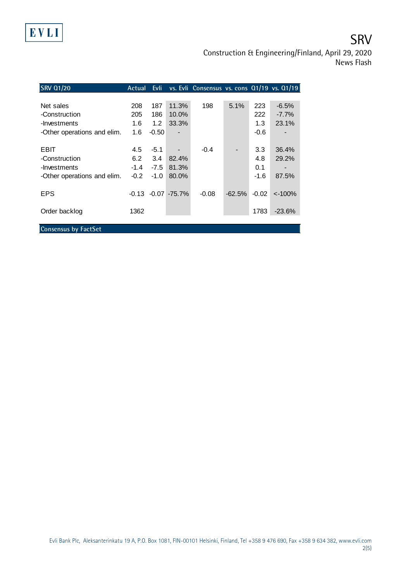

Construction & Engineering/Finland, April 29, 2020 News Flash

| <b>SRV 01/20</b>            | Actual | Evli   |                  | vs. Evli Consensus vs. cons Q1/19 vs. Q1/19 |          |         |           |
|-----------------------------|--------|--------|------------------|---------------------------------------------|----------|---------|-----------|
|                             |        |        |                  |                                             |          |         |           |
| Net sales                   | 208    | 187    | 11.3%            | 198                                         | 5.1%     | 223     | $-6.5%$   |
| -Construction               | 205    | 186    | 10.0%            |                                             |          | 222     | $-7.7%$   |
| -Investments                | 1.6    | 1.2    | 33.3%            |                                             |          | 1.3     | 23.1%     |
| -Other operations and elim. | 1.6    | -0.50  |                  |                                             |          | $-0.6$  |           |
|                             |        |        |                  |                                             |          |         |           |
| EBIT                        | 4.5    | $-5.1$ |                  | $-0.4$                                      |          | 3.3     | 36.4%     |
| -Construction               | 6.2    | 3.4    | 82.4%            |                                             |          | 4.8     | 29.2%     |
| -Investments                | $-1.4$ | $-7.5$ | 81.3%            |                                             |          | 0.1     |           |
| -Other operations and elim. | $-0.2$ | $-1.0$ | 80.0%            |                                             |          | $-1.6$  | 87.5%     |
|                             |        |        |                  |                                             |          |         |           |
| <b>EPS</b>                  | -0.13  |        | $-0.07 - 75.7\%$ | $-0.08$                                     | $-62.5%$ | $-0.02$ | $<$ -100% |
|                             |        |        |                  |                                             |          |         |           |
| Order backlog               | 1362   |        |                  |                                             |          | 1783    | $-23.6%$  |
|                             |        |        |                  |                                             |          |         |           |
| <b>Consensus by FactSet</b> |        |        |                  |                                             |          |         |           |

EVLI

Evli Bank Plc, Aleksanterinkatu 19 A, P.O. Box 1081, FIN-00101 Helsinki, Finland, Tel +358 9 476 690, Fax +358 9 634 382, [www.evli.com](http://www.evli.com/) 2(5)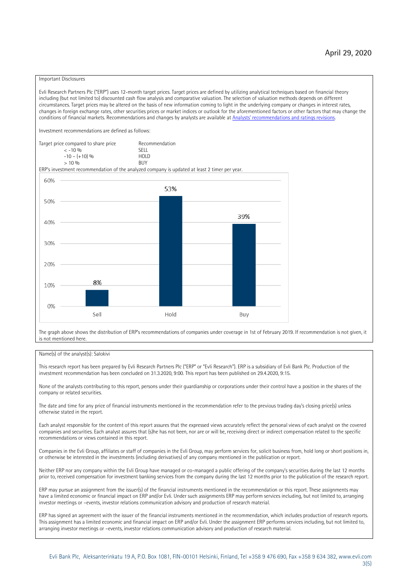#### Important Disclosures

Evli Research Partners Plc ("ERP") uses 12-month target prices. Target prices are defined by utilizing analytical techniques based on financial theory including (but not limited to) discounted cash flow analysis and comparative valuation. The selection of valuation methods depends on different circumstances. Target prices may be altered on the basis of new information coming to light in the underlying company or changes in interest rates, changes in foreign exchange rates, other securities prices or market indices or outlook for the aforementioned factors or other factors that may change the conditions of financial markets. Recommendations and changes by analysts are available at An[alysts' recommendations and ratings revisions](https://research.evli.com/JasperAllModels.action?authParam=key;461&authParam=x;G3rNagWrtf7K&authType=3). Investment recommendations are defined as follows: Target price compared to share price Recommendation<br> $\epsilon$  -10 %  $\langle 5, 10, 10 \rangle$  SELL<br>  $\langle -10, 6, 10 \rangle$  SELL<br>  $\langle 10, 10, 10 \rangle$  $-10 - (+10) \%$  HOLD<br>> 10 % BUY  $> 10\%$ ERP's investment recommendation of the analyzed company is updated at least 2 timer per year. 60% 53% 50% 39% 40% 30%  $20%$ 8% 10% 0% Sell Hold Buy

The graph above shows the distribution of ERP's recommendations of companies under coverage in 1st of February 2019. If recommendation is not given, it is not mentioned here.

### Name(s) of the analyst(s): Salokivi

This research report has been prepared by Evli Research Partners Plc ("ERP" or "Evli Research"). ERP is a subsidiary of Evli Bank Plc. Production of the investment recommendation has been concluded on 31.3.2020, 9:00. This report has been published on 29.4.2020, 9:15.

None of the analysts contributing to this report, persons under their guardianship or corporations under their control have a position in the shares of the company or related securities.

The date and time for any price of financial instruments mentioned in the recommendation refer to the previous trading day's closing price(s) unless otherwise stated in the report.

Each analyst responsible for the content of this report assures that the expressed views accurately reflect the personal views of each analyst on the covered companies and securities. Each analyst assures that (s)he has not been, nor are or will be, receiving direct or indirect compensation related to the specific recommendations or views contained in this report.

Companies in the Evli Group, affiliates or staff of companies in the Evli Group, may perform services for, solicit business from, hold long or short positions in, or otherwise be interested in the investments (including derivatives) of any company mentioned in the publication or report.

Neither ERP nor any company within the Evli Group have managed or co-managed a public offering of the company's securities during the last 12 months prior to, received compensation for investment banking services from the company during the last 12 months prior to the publication of the research report.

ERP may pursue an assignment from the issuer(s) of the financial instruments mentioned in the recommendation or this report. These assignments may have a limited economic or financial impact on ERP and/or Evli. Under such assignments ERP may perform services including, but not limited to, arranging investor meetings or –events, investor relations communication advisory and production of research material.

ERP has signed an agreement with the issuer of the financial instruments mentioned in the recommendation, which includes production of research reports. This assignment has a limited economic and financial impact on ERP and/or Evli. Under the assignment ERP performs services including, but not limited to, arranging investor meetings or –events, investor relations communication advisory and production of research material.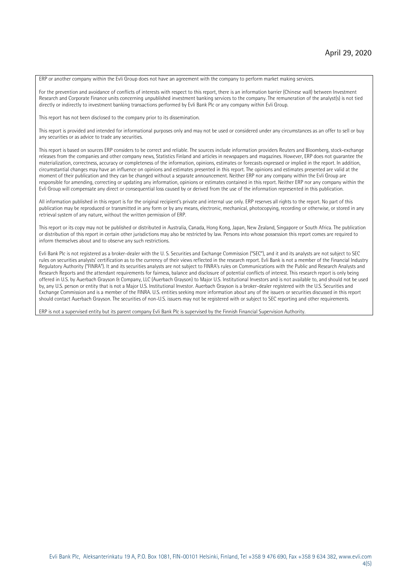ERP or another company within the Evli Group does not have an agreement with the company to perform market making services.

For the prevention and avoidance of conflicts of interests with respect to this report, there is an information barrier (Chinese wall) between Investment Research and Corporate Finance units concerning unpublished investment banking services to the company. The remuneration of the analyst(s) is not tied directly or indirectly to investment banking transactions performed by Evli Bank Plc or any company within Evli Group.

This report has not been disclosed to the company prior to its dissemination.

This report is provided and intended for informational purposes only and may not be used or considered under any circumstances as an offer to sell or buy any securities or as advice to trade any securities.

This report is based on sources ERP considers to be correct and reliable. The sources include information providers Reuters and Bloomberg, stock-exchange releases from the companies and other company news, Statistics Finland and articles in newspapers and magazines. However, ERP does not guarantee the materialization, correctness, accuracy or completeness of the information, opinions, estimates or forecasts expressed or implied in the report. In addition, circumstantial changes may have an influence on opinions and estimates presented in this report. The opinions and estimates presented are valid at the moment of their publication and they can be changed without a separate announcement. Neither ERP nor any company within the Evli Group are responsible for amending, correcting or updating any information, opinions or estimates contained in this report. Neither ERP nor any company within the Evli Group will compensate any direct or consequential loss caused by or derived from the use of the information represented in this publication.

All information published in this report is for the original recipient's private and internal use only. ERP reserves all rights to the report. No part of this publication may be reproduced or transmitted in any form or by any means, electronic, mechanical, photocopying, recording or otherwise, or stored in any retrieval system of any nature, without the written permission of ERP.

This report or its copy may not be published or distributed in Australia, Canada, Hong Kong, Japan, New Zealand, Singapore or South Africa. The publication or distribution of this report in certain other jurisdictions may also be restricted by law. Persons into whose possession this report comes are required to inform themselves about and to observe any such restrictions.

Evli Bank Plc is not registered as a broker-dealer with the U. S. Securities and Exchange Commission ("SEC"), and it and its analysts are not subject to SEC rules on securities analysts' certification as to the currency of their views reflected in the research report. Evli Bank is not a member of the Financial Industry Regulatory Authority ("FINRA"). It and its securities analysts are not subject to FINRA's rules on Communications with the Public and Research Analysts and Research Reports and the attendant requirements for fairness, balance and disclosure of potential conflicts of interest. This research report is only being offered in U.S. by Auerbach Grayson & Company, LLC (Auerbach Grayson) to Major U.S. Institutional Investors and is not available to, and should not be used by, any U.S. person or entity that is not a Major U.S. Institutional Investor. Auerbach Grayson is a broker-dealer registered with the U.S. Securities and Exchange Commission and is a member of the FINRA. U.S. entities seeking more information about any of the issuers or securities discussed in this report should contact Auerbach Grayson. The securities of non-U.S. issuers may not be registered with or subject to SEC reporting and other requirements.

ERP is not a supervised entity but its parent company Evli Bank Plc is supervised by the Finnish Financial Supervision Authority.